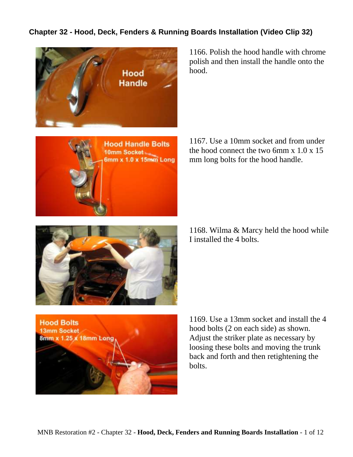## **Chapter 32 - Hood, Deck, Fenders & Running Boards Installation (Video Clip 32)**





1166. Polish the hood handle with chrome polish and then install the handle onto the hood.

1167. Use a 10mm socket and from under the hood connect the two 6mm  $x$  1.0  $x$  15 mm long bolts for the hood handle.

1168. Wilma & Marcy held the hood while I installed the 4 bolts.





1169. Use a 13mm socket and install the 4 hood bolts (2 on each side) as shown. Adjust the striker plate as necessary by loosing these bolts and moving the trunk back and forth and then retightening the bolts.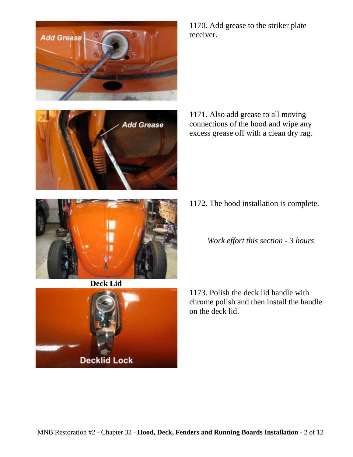



1170. Add grease to the striker plate receiver.

1171. Also add grease to all moving connections of the hood and wipe any excess grease off with a clean dry rag.

- 1172. The hood installation is complete.
	- *Work effort this section - 3 hours*

1173. Polish the deck lid handle with chrome polish and then install the handle on the deck lid.



**Deck Lid**

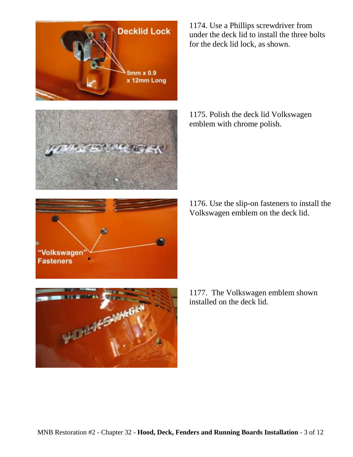

1174. Use a Phillips screwdriver from under the deck lid to install the three bolts for the deck lid lock, as shown.

1175. Polish the deck lid Volkswagen emblem with chrome polish.

1176. Use the slip-on fasteners to install the Volkswagen emblem on the deck lid.



1177. The Volkswagen emblem shown installed on the deck lid.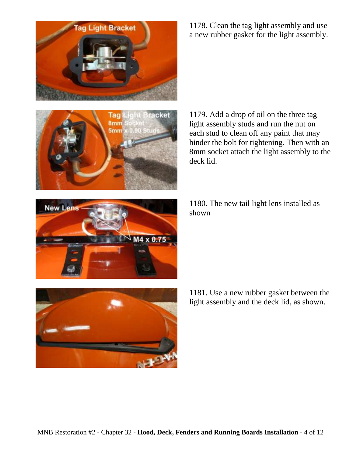



**New Lens** 

1178. Clean the tag light assembly and use a new rubber gasket for the light assembly.

1179. Add a drop of oil on the three tag light assembly studs and run the nut on each stud to clean off any paint that may hinder the bolt for tightening. Then with an 8mm socket attach the light assembly to the deck lid.

1180. The new tail light lens installed as shown



M4 x 0.75

1181. Use a new rubber gasket between the light assembly and the deck lid, as shown.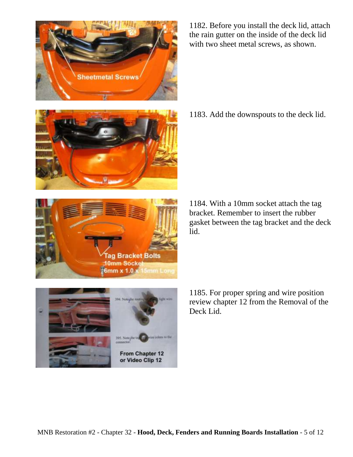From Chapter 12 or Video Clip 12



1183. Add the downspouts to the deck lid.

1184. With a 10mm socket attach the tag bracket. Remember to insert the rubber gasket between the tag bracket and the deck lid.

1185. For proper spring and wire position review chapter 12 from the Removal of the Deck Lid.





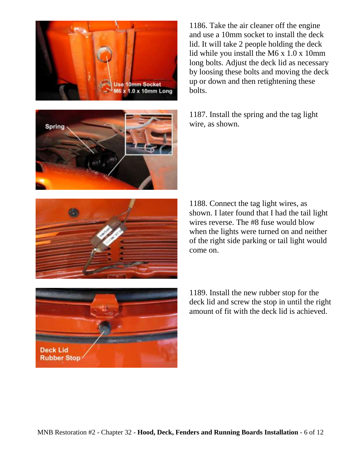

**Spring** 



1187. Install the spring and the tag light wire, as shown.



1188. Connect the tag light wires, as shown. I later found that I had the tail light wires reverse. The #8 fuse would blow when the lights were turned on and neither of the right side parking or tail light would come on.



1189. Install the new rubber stop for the deck lid and screw the stop in until the right amount of fit with the deck lid is achieved.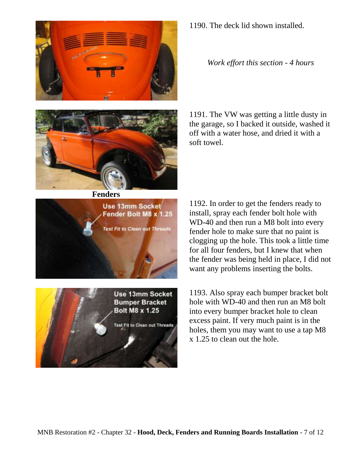



**Fenders**



Test Fit to Clean out Threads

1190. The deck lid shown installed.

*Work effort this section - 4 hours*

1191. The VW was getting a little dusty in the garage, so I backed it outside, washed it off with a water hose, and dried it with a soft towel.

1192. In order to get the fenders ready to install, spray each fender bolt hole with WD-40 and then run a M8 bolt into every fender hole to make sure that no paint is clogging up the hole. This took a little time for all four fenders, but I knew that when the fender was being held in place, I did not want any problems inserting the bolts.

1193. Also spray each bumper bracket bolt hole with WD-40 and then run an M8 bolt into every bumper bracket hole to clean excess paint. If very much paint is in the holes, them you may want to use a tap M8 x 1.25 to clean out the hole.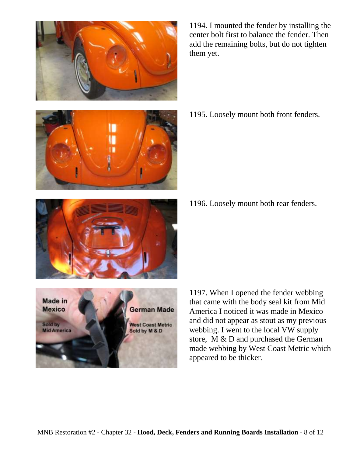

1194. I mounted the fender by installing the center bolt first to balance the fender. Then add the remaining bolts, but do not tighten them yet.

1195. Loosely mount both front fenders.

1196. Loosely mount both rear fenders.





1197. When I opened the fender webbing that came with the body seal kit from Mid America I noticed it was made in Mexico and did not appear as stout as my previous webbing. I went to the local VW supply store, M & D and purchased the German made webbing by West Coast Metric which appeared to be thicker.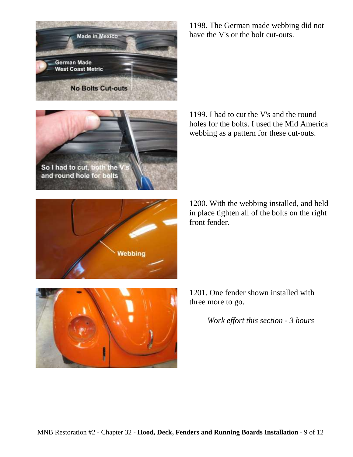

1198. The German made webbing did not have the V's or the bolt cut-outs.





1199. I had to cut the V's and the round holes for the bolts. I used the Mid America webbing as a pattern for these cut-outs.

1200. With the webbing installed, and held in place tighten all of the bolts on the right front fender.



*Work effort this section - 3 hours*

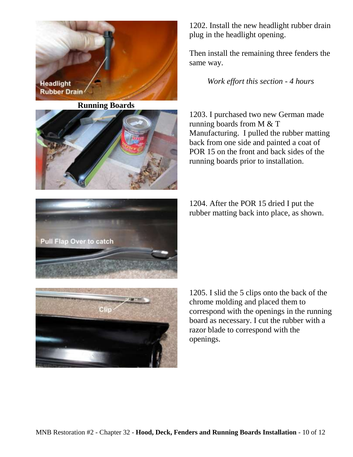

**Running Boards**



1202. Install the new headlight rubber drain plug in the headlight opening.

Then install the remaining three fenders the same way.

*Work effort this section - 4 hours*

1203. I purchased two new German made running boards from M & T Manufacturing. I pulled the rubber matting back from one side and painted a coat of POR 15 on the front and back sides of the running boards prior to installation.

1204. After the POR 15 dried I put the rubber matting back into place, as shown.





1205. I slid the 5 clips onto the back of the chrome molding and placed them to correspond with the openings in the running board as necessary. I cut the rubber with a razor blade to correspond with the openings.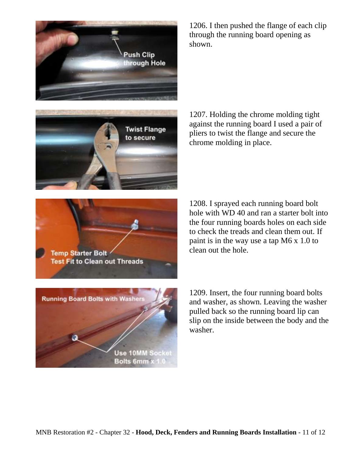



1206. I then pushed the flange of each clip through the running board opening as shown.

1207. Holding the chrome molding tight against the running board I used a pair of pliers to twist the flange and secure the chrome molding in place.



1208. I sprayed each running board bolt hole with WD 40 and ran a starter bolt into the four running boards holes on each side to check the treads and clean them out. If paint is in the way use a tap M6 x 1.0 to clean out the hole.



1209. Insert, the four running board bolts and washer, as shown. Leaving the washer pulled back so the running board lip can slip on the inside between the body and the washer.